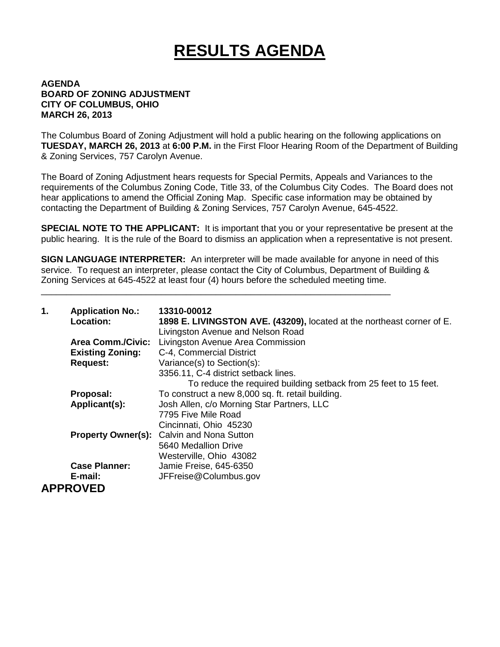## **RESULTS AGENDA**

## **AGENDA BOARD OF ZONING ADJUSTMENT CITY OF COLUMBUS, OHIO MARCH 26, 2013**

The Columbus Board of Zoning Adjustment will hold a public hearing on the following applications on **TUESDAY, MARCH 26, 2013** at **6:00 P.M.** in the First Floor Hearing Room of the Department of Building & Zoning Services, 757 Carolyn Avenue.

The Board of Zoning Adjustment hears requests for Special Permits, Appeals and Variances to the requirements of the Columbus Zoning Code, Title 33, of the Columbus City Codes. The Board does not hear applications to amend the Official Zoning Map. Specific case information may be obtained by contacting the Department of Building & Zoning Services, 757 Carolyn Avenue, 645-4522.

**SPECIAL NOTE TO THE APPLICANT:** It is important that you or your representative be present at the public hearing. It is the rule of the Board to dismiss an application when a representative is not present.

**SIGN LANGUAGE INTERPRETER:** An interpreter will be made available for anyone in need of this service. To request an interpreter, please contact the City of Columbus, Department of Building & Zoning Services at 645-4522 at least four (4) hours before the scheduled meeting time.

\_\_\_\_\_\_\_\_\_\_\_\_\_\_\_\_\_\_\_\_\_\_\_\_\_\_\_\_\_\_\_\_\_\_\_\_\_\_\_\_\_\_\_\_\_\_\_\_\_\_\_\_\_\_\_\_\_\_\_\_\_\_\_\_\_\_\_\_\_\_

| 1. | <b>Application No.:</b><br>Location: | 13310-00012<br>1898 E. LIVINGSTON AVE. (43209), located at the northeast corner of E.<br>Livingston Avenue and Nelson Road |
|----|--------------------------------------|----------------------------------------------------------------------------------------------------------------------------|
|    | <b>Area Comm./Civic:</b>             | Livingston Avenue Area Commission                                                                                          |
|    | <b>Existing Zoning:</b>              | C-4, Commercial District                                                                                                   |
|    | <b>Request:</b>                      | Variance(s) to Section(s):                                                                                                 |
|    |                                      | 3356.11, C-4 district setback lines.                                                                                       |
|    |                                      | To reduce the required building setback from 25 feet to 15 feet.                                                           |
|    | Proposal:                            | To construct a new 8,000 sq. ft. retail building.                                                                          |
|    | Applicant(s):                        | Josh Allen, c/o Morning Star Partners, LLC                                                                                 |
|    |                                      | 7795 Five Mile Road                                                                                                        |
|    |                                      | Cincinnati, Ohio 45230                                                                                                     |
|    |                                      | <b>Property Owner(s):</b> Calvin and Nona Sutton                                                                           |
|    |                                      | 5640 Medallion Drive                                                                                                       |
|    |                                      | Westerville, Ohio 43082                                                                                                    |
|    | <b>Case Planner:</b>                 | Jamie Freise, 645-6350                                                                                                     |
|    | E-mail:                              | JFFreise@Columbus.gov                                                                                                      |
|    | <b>APPROVED</b>                      |                                                                                                                            |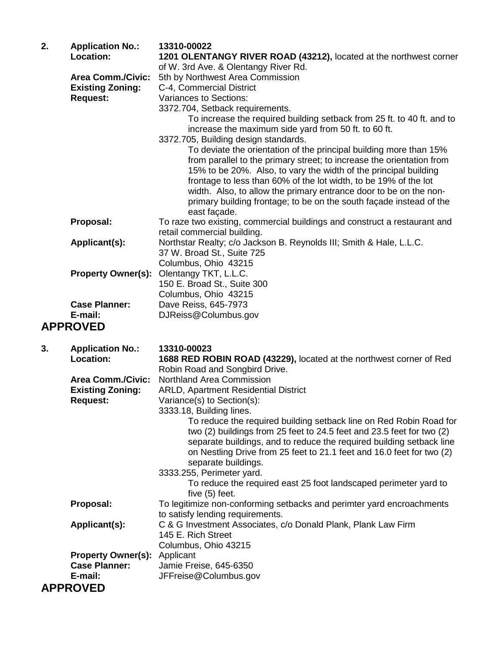| 2. | <b>Application No.:</b>   | 13310-00022                                                                                                                    |
|----|---------------------------|--------------------------------------------------------------------------------------------------------------------------------|
|    | Location:                 | 1201 OLENTANGY RIVER ROAD (43212), located at the northwest corner                                                             |
|    |                           | of W. 3rd Ave. & Olentangy River Rd.                                                                                           |
|    | <b>Area Comm./Civic:</b>  | 5th by Northwest Area Commission                                                                                               |
|    | <b>Existing Zoning:</b>   | C-4, Commercial District                                                                                                       |
|    | <b>Request:</b>           | Variances to Sections:                                                                                                         |
|    |                           | 3372.704, Setback requirements.                                                                                                |
|    |                           | To increase the required building setback from 25 ft. to 40 ft. and to<br>increase the maximum side yard from 50 ft. to 60 ft. |
|    |                           | 3372.705, Building design standards.                                                                                           |
|    |                           | To deviate the orientation of the principal building more than 15%                                                             |
|    |                           | from parallel to the primary street; to increase the orientation from                                                          |
|    |                           | 15% to be 20%. Also, to vary the width of the principal building                                                               |
|    |                           | frontage to less than 60% of the lot width, to be 19% of the lot                                                               |
|    |                           | width. Also, to allow the primary entrance door to be on the non-                                                              |
|    |                           | primary building frontage; to be on the south façade instead of the<br>east façade.                                            |
|    | Proposal:                 | To raze two existing, commercial buildings and construct a restaurant and                                                      |
|    |                           | retail commercial building.                                                                                                    |
|    | Applicant(s):             | Northstar Realty; c/o Jackson B. Reynolds III; Smith & Hale, L.L.C.                                                            |
|    |                           | 37 W. Broad St., Suite 725                                                                                                     |
|    |                           | Columbus, Ohio 43215                                                                                                           |
|    | <b>Property Owner(s):</b> | Olentangy TKT, L.L.C.                                                                                                          |
|    |                           | 150 E. Broad St., Suite 300                                                                                                    |
|    |                           | Columbus, Ohio 43215                                                                                                           |
|    | <b>Case Planner:</b>      | Dave Reiss, 645-7973                                                                                                           |
|    | E-mail:                   | DJReiss@Columbus.gov                                                                                                           |
|    | <b>APPROVED</b>           |                                                                                                                                |

| 3. | <b>Application No.:</b>   | 13310-00023                                                                                                                                                                                                                                                                                                         |
|----|---------------------------|---------------------------------------------------------------------------------------------------------------------------------------------------------------------------------------------------------------------------------------------------------------------------------------------------------------------|
|    | Location:                 | 1688 RED ROBIN ROAD (43229), located at the northwest corner of Red                                                                                                                                                                                                                                                 |
|    |                           | Robin Road and Songbird Drive.                                                                                                                                                                                                                                                                                      |
|    | <b>Area Comm./Civic:</b>  | <b>Northland Area Commission</b>                                                                                                                                                                                                                                                                                    |
|    | <b>Existing Zoning:</b>   | <b>ARLD, Apartment Residential District</b>                                                                                                                                                                                                                                                                         |
|    | <b>Request:</b>           | Variance(s) to Section(s):                                                                                                                                                                                                                                                                                          |
|    |                           | 3333.18, Building lines.                                                                                                                                                                                                                                                                                            |
|    |                           | To reduce the required building setback line on Red Robin Road for<br>two (2) buildings from 25 feet to 24.5 feet and 23.5 feet for two (2)<br>separate buildings, and to reduce the required building setback line<br>on Nestling Drive from 25 feet to 21.1 feet and 16.0 feet for two (2)<br>separate buildings. |
|    |                           | 3333.255, Perimeter yard.                                                                                                                                                                                                                                                                                           |
|    |                           | To reduce the required east 25 foot landscaped perimeter yard to<br>five (5) feet.                                                                                                                                                                                                                                  |
|    | Proposal:                 | To legitimize non-conforming setbacks and perimter yard encroachments<br>to satisfy lending requirements.                                                                                                                                                                                                           |
|    | Applicant(s):             | C & G Investment Associates, c/o Donald Plank, Plank Law Firm<br>145 E. Rich Street<br>Columbus, Ohio 43215                                                                                                                                                                                                         |
|    | <b>Property Owner(s):</b> | Applicant                                                                                                                                                                                                                                                                                                           |
|    | <b>Case Planner:</b>      | Jamie Freise, 645-6350                                                                                                                                                                                                                                                                                              |
|    | E-mail:                   | JFFreise@Columbus.gov                                                                                                                                                                                                                                                                                               |
|    | <b>APPROVED</b>           |                                                                                                                                                                                                                                                                                                                     |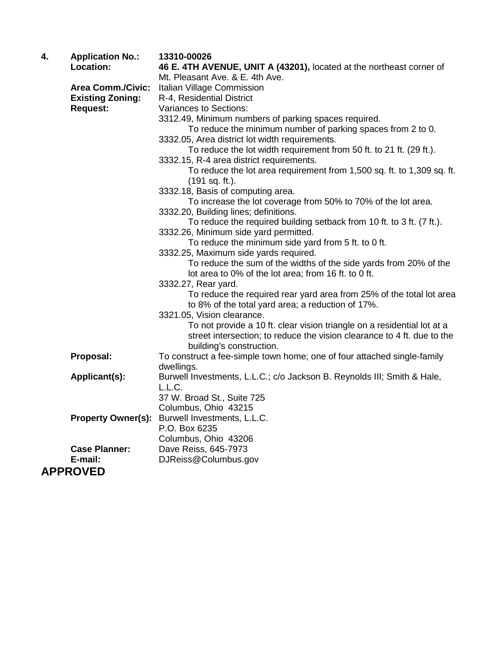| 4. | <b>Application No.:</b>   | 13310-00026                                                             |
|----|---------------------------|-------------------------------------------------------------------------|
|    | Location:                 | 46 E. 4TH AVENUE, UNIT A (43201), located at the northeast corner of    |
|    |                           | Mt. Pleasant Ave. & E. 4th Ave.                                         |
|    | <b>Area Comm./Civic:</b>  | Italian Village Commission                                              |
|    | <b>Existing Zoning:</b>   | R-4, Residential District                                               |
|    | <b>Request:</b>           | <b>Variances to Sections:</b>                                           |
|    |                           | 3312.49, Minimum numbers of parking spaces required.                    |
|    |                           | To reduce the minimum number of parking spaces from 2 to 0.             |
|    |                           | 3332.05, Area district lot width requirements.                          |
|    |                           | To reduce the lot width requirement from 50 ft. to 21 ft. (29 ft.).     |
|    |                           | 3332.15, R-4 area district requirements.                                |
|    |                           | To reduce the lot area requirement from 1,500 sq. ft. to 1,309 sq. ft.  |
|    |                           | (191 sq. ft.).<br>3332.18, Basis of computing area.                     |
|    |                           | To increase the lot coverage from 50% to 70% of the lot area.           |
|    |                           | 3332.20, Building lines; definitions.                                   |
|    |                           | To reduce the required building setback from 10 ft. to 3 ft. (7 ft.).   |
|    |                           | 3332.26, Minimum side yard permitted.                                   |
|    |                           | To reduce the minimum side yard from 5 ft. to 0 ft.                     |
|    |                           | 3332.25, Maximum side yards required.                                   |
|    |                           | To reduce the sum of the widths of the side yards from 20% of the       |
|    |                           | lot area to 0% of the lot area; from 16 ft. to 0 ft.                    |
|    |                           | 3332.27, Rear yard.                                                     |
|    |                           | To reduce the required rear yard area from 25% of the total lot area    |
|    |                           | to 8% of the total yard area; a reduction of 17%.                       |
|    |                           | 3321.05, Vision clearance.                                              |
|    |                           | To not provide a 10 ft. clear vision triangle on a residential lot at a |
|    |                           | street intersection; to reduce the vision clearance to 4 ft. due to the |
|    |                           | building's construction.                                                |
|    | Proposal:                 | To construct a fee-simple town home; one of four attached single-family |
|    |                           | dwellings.                                                              |
|    | Applicant(s):             | Burwell Investments, L.L.C.; c/o Jackson B. Reynolds III; Smith & Hale, |
|    |                           | L.L.C.                                                                  |
|    |                           | 37 W. Broad St., Suite 725                                              |
|    |                           | Columbus, Ohio 43215                                                    |
|    | <b>Property Owner(s):</b> | Burwell Investments, L.L.C.                                             |
|    |                           | P.O. Box 6235                                                           |
|    | <b>Case Planner:</b>      | Columbus, Ohio 43206<br>Dave Reiss, 645-7973                            |
|    | E-mail:                   | DJReiss@Columbus.gov                                                    |
|    |                           |                                                                         |
|    | <b>APPROVED</b>           |                                                                         |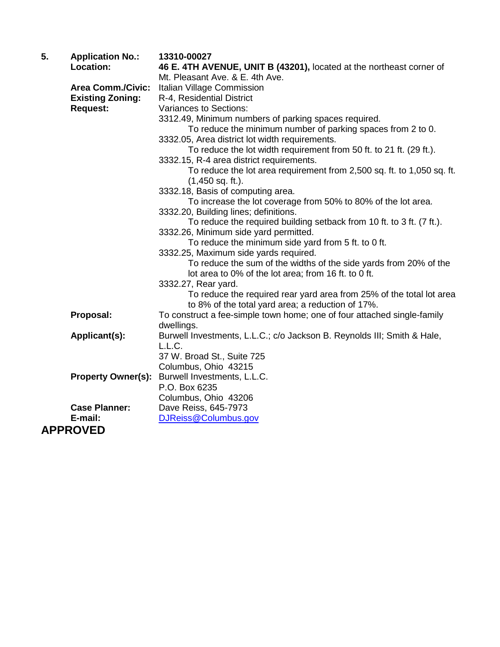| 5. | <b>Application No.:</b>   | 13310-00027                                                             |
|----|---------------------------|-------------------------------------------------------------------------|
|    | Location:                 | 46 E. 4TH AVENUE, UNIT B (43201), located at the northeast corner of    |
|    |                           | Mt. Pleasant Ave. & E. 4th Ave.                                         |
|    | <b>Area Comm./Civic:</b>  | Italian Village Commission                                              |
|    | <b>Existing Zoning:</b>   | R-4, Residential District                                               |
|    | <b>Request:</b>           | <b>Variances to Sections:</b>                                           |
|    |                           | 3312.49, Minimum numbers of parking spaces required.                    |
|    |                           | To reduce the minimum number of parking spaces from 2 to 0.             |
|    |                           | 3332.05, Area district lot width requirements.                          |
|    |                           | To reduce the lot width requirement from 50 ft. to 21 ft. (29 ft.).     |
|    |                           | 3332.15, R-4 area district requirements.                                |
|    |                           | To reduce the lot area requirement from 2,500 sq. ft. to 1,050 sq. ft.  |
|    |                           | $(1,450$ sq. ft.).                                                      |
|    |                           | 3332.18, Basis of computing area.                                       |
|    |                           | To increase the lot coverage from 50% to 80% of the lot area.           |
|    |                           | 3332.20, Building lines; definitions.                                   |
|    |                           | To reduce the required building setback from 10 ft. to 3 ft. (7 ft.).   |
|    |                           | 3332.26, Minimum side yard permitted.                                   |
|    |                           | To reduce the minimum side yard from 5 ft. to 0 ft.                     |
|    |                           | 3332.25, Maximum side yards required.                                   |
|    |                           | To reduce the sum of the widths of the side yards from 20% of the       |
|    |                           | lot area to 0% of the lot area; from 16 ft. to 0 ft.                    |
|    |                           | 3332.27, Rear yard.                                                     |
|    |                           | To reduce the required rear yard area from 25% of the total lot area    |
|    |                           | to 8% of the total yard area; a reduction of 17%.                       |
|    | Proposal:                 | To construct a fee-simple town home; one of four attached single-family |
|    |                           | dwellings.                                                              |
|    | Applicant(s):             | Burwell Investments, L.L.C.; c/o Jackson B. Reynolds III; Smith & Hale, |
|    |                           | L.L.C.                                                                  |
|    |                           | 37 W. Broad St., Suite 725                                              |
|    |                           | Columbus, Ohio 43215                                                    |
|    | <b>Property Owner(s):</b> | Burwell Investments, L.L.C.                                             |
|    |                           | P.O. Box 6235                                                           |
|    |                           | Columbus, Ohio 43206                                                    |
|    | <b>Case Planner:</b>      | Dave Reiss, 645-7973                                                    |
|    | E-mail:                   | DJReiss@Columbus.gov                                                    |
|    | <b>APPROVED</b>           |                                                                         |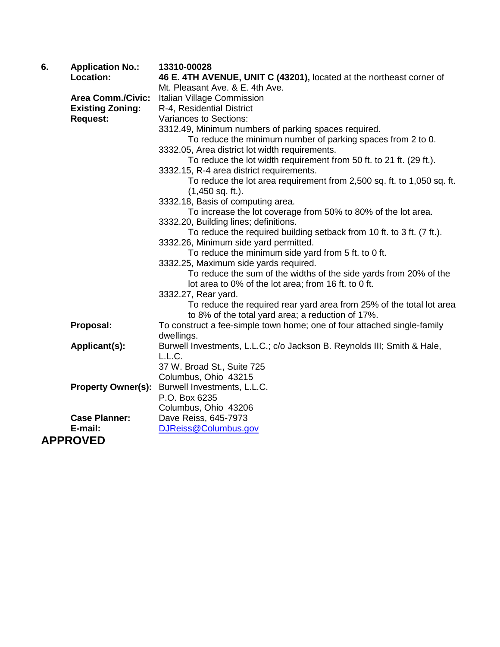| 6. | <b>Application No.:</b>   | 13310-00028                                                             |
|----|---------------------------|-------------------------------------------------------------------------|
|    | Location:                 | 46 E. 4TH AVENUE, UNIT C (43201), located at the northeast corner of    |
|    |                           | Mt. Pleasant Ave. & E. 4th Ave.                                         |
|    | <b>Area Comm./Civic:</b>  | Italian Village Commission                                              |
|    | <b>Existing Zoning:</b>   | R-4, Residential District                                               |
|    | <b>Request:</b>           | Variances to Sections:                                                  |
|    |                           | 3312.49, Minimum numbers of parking spaces required.                    |
|    |                           | To reduce the minimum number of parking spaces from 2 to 0.             |
|    |                           | 3332.05, Area district lot width requirements.                          |
|    |                           | To reduce the lot width requirement from 50 ft. to 21 ft. (29 ft.).     |
|    |                           | 3332.15, R-4 area district requirements.                                |
|    |                           | To reduce the lot area requirement from 2,500 sq. ft. to 1,050 sq. ft.  |
|    |                           | $(1,450$ sq. ft.).                                                      |
|    |                           | 3332.18, Basis of computing area.                                       |
|    |                           | To increase the lot coverage from 50% to 80% of the lot area.           |
|    |                           | 3332.20, Building lines; definitions.                                   |
|    |                           | To reduce the required building setback from 10 ft. to 3 ft. (7 ft.).   |
|    |                           | 3332.26, Minimum side yard permitted.                                   |
|    |                           | To reduce the minimum side yard from 5 ft. to 0 ft.                     |
|    |                           | 3332.25, Maximum side yards required.                                   |
|    |                           | To reduce the sum of the widths of the side yards from 20% of the       |
|    |                           | lot area to 0% of the lot area; from 16 ft. to 0 ft.                    |
|    |                           | 3332.27, Rear yard.                                                     |
|    |                           | To reduce the required rear yard area from 25% of the total lot area    |
|    |                           | to 8% of the total yard area; a reduction of 17%.                       |
|    | Proposal:                 | To construct a fee-simple town home; one of four attached single-family |
|    |                           | dwellings.                                                              |
|    | Applicant(s):             | Burwell Investments, L.L.C.; c/o Jackson B. Reynolds III; Smith & Hale, |
|    |                           | L.L.C.                                                                  |
|    |                           | 37 W. Broad St., Suite 725                                              |
|    |                           | Columbus, Ohio 43215                                                    |
|    | <b>Property Owner(s):</b> | Burwell Investments, L.L.C.                                             |
|    |                           | P.O. Box 6235                                                           |
|    |                           | Columbus, Ohio 43206                                                    |
|    | <b>Case Planner:</b>      | Dave Reiss, 645-7973                                                    |
|    | E-mail:                   | DJReiss@Columbus.gov                                                    |
|    | <b>APPROVED</b>           |                                                                         |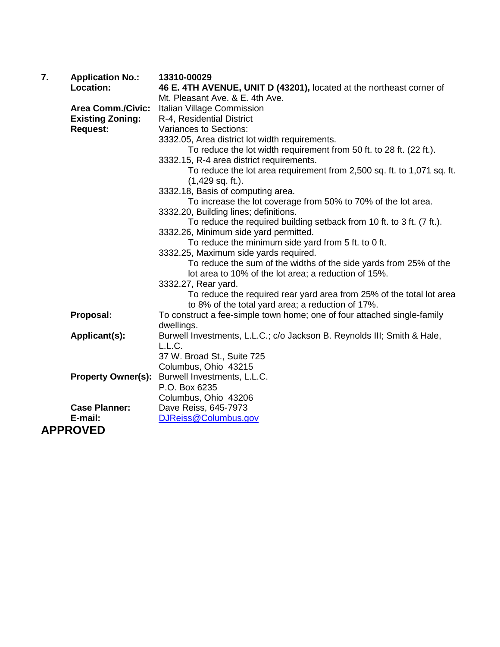| 7. | <b>Application No.:</b>   | 13310-00029                                                             |
|----|---------------------------|-------------------------------------------------------------------------|
|    | Location:                 | 46 E. 4TH AVENUE, UNIT D (43201), located at the northeast corner of    |
|    |                           | Mt. Pleasant Ave. & E. 4th Ave.                                         |
|    | <b>Area Comm./Civic:</b>  | Italian Village Commission                                              |
|    | <b>Existing Zoning:</b>   | R-4, Residential District                                               |
|    | <b>Request:</b>           | Variances to Sections:                                                  |
|    |                           | 3332.05, Area district lot width requirements.                          |
|    |                           | To reduce the lot width requirement from 50 ft. to 28 ft. (22 ft.).     |
|    |                           | 3332.15, R-4 area district requirements.                                |
|    |                           | To reduce the lot area requirement from 2,500 sq. ft. to 1,071 sq. ft.  |
|    |                           | $(1,429$ sq. ft.).                                                      |
|    |                           | 3332.18, Basis of computing area.                                       |
|    |                           | To increase the lot coverage from 50% to 70% of the lot area.           |
|    |                           | 3332.20, Building lines; definitions.                                   |
|    |                           | To reduce the required building setback from 10 ft. to 3 ft. (7 ft.).   |
|    |                           | 3332.26, Minimum side yard permitted.                                   |
|    |                           | To reduce the minimum side yard from 5 ft. to 0 ft.                     |
|    |                           | 3332.25, Maximum side yards required.                                   |
|    |                           | To reduce the sum of the widths of the side yards from 25% of the       |
|    |                           | lot area to 10% of the lot area; a reduction of 15%.                    |
|    |                           | 3332.27, Rear yard.                                                     |
|    |                           | To reduce the required rear yard area from 25% of the total lot area    |
|    |                           | to 8% of the total yard area; a reduction of 17%.                       |
|    | Proposal:                 | To construct a fee-simple town home; one of four attached single-family |
|    |                           | dwellings.                                                              |
|    | Applicant(s):             | Burwell Investments, L.L.C.; c/o Jackson B. Reynolds III; Smith & Hale, |
|    |                           | L.L.C.                                                                  |
|    |                           | 37 W. Broad St., Suite 725                                              |
|    |                           | Columbus, Ohio 43215                                                    |
|    | <b>Property Owner(s):</b> | Burwell Investments, L.L.C.                                             |
|    |                           | P.O. Box 6235                                                           |
|    |                           | Columbus, Ohio 43206                                                    |
|    | <b>Case Planner:</b>      | Dave Reiss, 645-7973                                                    |
|    | E-mail:                   | DJReiss@Columbus.gov                                                    |
|    | <b>APPROVED</b>           |                                                                         |